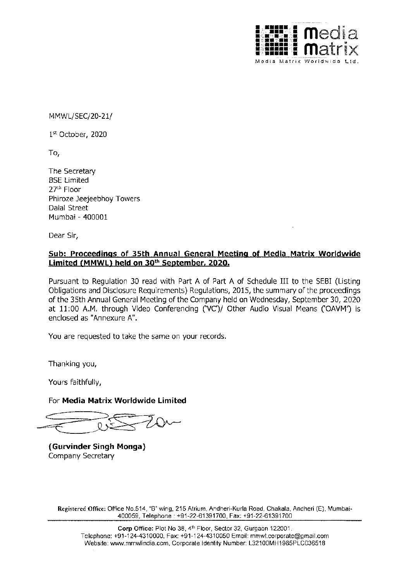

MMWL/SEC/20-21/

1st October, 2020

To,

The Secretary **BSE Limited** 27th Floor Phiroze Jeejeebhoy Towers Dalal Street Mumbai - 400001

Dear Sir,

## **Sub: Proceedings of 35th Annual General Meeting of Media Matrix Worldwide Limited (MMWL) held on 30th September, 2020.**

Pursuant to Regulation 30 read with Part A of Part A of Schedule III to the SEBI (Listing Obligations and Disclosure Requirements) Regulations, 2015, the summary of the proceedings of the 35th Annual General Meeting of the Company held on Wednesday, September 30, 2020 at 11:00 A.M. through Video Conferencing ('VC')/ Other Audio Visual Means ('OAVM') is enclosed as "Annexure A".

You are requested to take the same on your records.

Thanking you,

Yours faithfully,

For **Media Matrix Worldwide Limited** 

0

**(Gurvinder Singh Monga)**  Company Secretary

**Registered Office:** Office No.514, "B" wing, 215 Atrium, Andheri-Kurla Road, Chakala, Andheri (E), Mumbai-400059, Telephone: +91-22-61391700, Fax: +91-22-61391700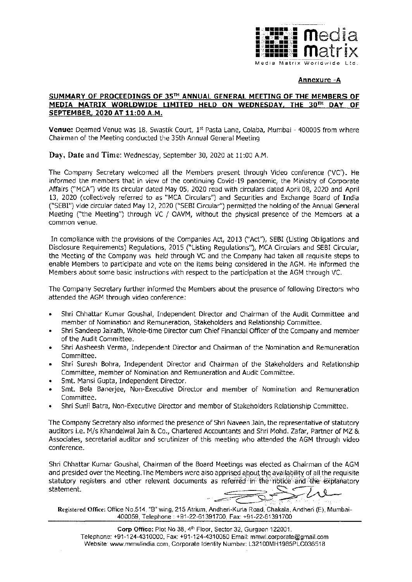

## **Annexure -A**

## **SUMMARY OF PROCEEDINGS OF 35TH ANNUAL GENERAL MEETING OF THE MEMBERS OF MEDIA MATRIX WORLDWIDE LIMITED HELD ON WEDNESDAY, THE J0TH DAY OF SEPTEMBER, 2020 AT 11:00 A.M.**

**Venue:** Deemed Venue was 18, Swastik Court, 1<sup>st</sup> Pasta Lane, Colaba, Mumbai - 400005 from where Chairman of the Meeting conducted the 35th Annual General Meeting

**Day, Date and Time:** Wednesday, September 30, 2020 at 11:00 A.M.

The Company Secretary welcomed all the Members present through Video conference [VC'). He informed the members that in view of the continuing Covid-19 pandemic, the Ministry of Corporate Affairs ("MCA'') vide its circular dated May 05, 2020 read with circulars dated April 08, 2020 and April 13, 2020 (collectively referred to as "MCA Circulars") and Securities and Exchange Board of India ("SEBI'') vide circular dated May 12, 2020 ("SEBI Circular'') permitted the holding of the Annual General Meeting ("the Meeting") through VC / OAVM, without the physical presence of the Members at a common venue.

In compliance with the provisions of the Companies Act, 2013 ("Act''), SEBI (Listing Obligations and Disclosure Requirements) Regulations, 2015 ("Listing Regulations''), MCA Circulars and SEBI Circular, the Meeting of the Company was held through VC and the Company had taken all requisite steps to enable Members to participate and vote on the items being considered in the AGM. He informed the Members about some basic instructions with respect to the participation at the AGM through VC.

The Company Secretary further informed the Members about the presence of following Directors who attended the AGM through video conference:

- Shri Chhattar Kumar Goushal, Independent Director and Chairman of the Audit Committee and member of Nomination and Remuneration, Stakeholders and Relationship Committee.
- Shri Sandeep Jairath, Whole-time Director cum Chief Financial Officer of the Company and member of the Audit Committee.
- Shri Aasheesh Verma, Independent Director and Chairman of the Nomination and Remuneration Committee.
- Shri Suresh Bohra, Independent Director and Chairman of the Stakeholders and Relationship Committee, member of Nomination and Remuneration and Audit Committee.
- Smt. Mansi Gupta, Independent Director.
- Smt. Bela Banerjee, Non-Executive Director and member of Nomination and Remuneration Committee.
- Shri Sunil Batra, Non-Executive Director and member of Stakeholders Relationship Committee.

The Company Secretary also informed the presence of Shri Naveen Jain, the representative of statutory auditors i.e. M/s Khandelwal Jain & Co., Chartered Accountants and Shri Mohd. Zafar, Partner of MZ & Associates, secretarial auditor and scrutinizer of this meeting who attended the AGM through video conference.

Shri Chhattar Kumar Goushal, Chairman of the Board Meetings was elected as Chairman of the AGM and presided over the Meeting. The Members were also apprised about the availability of all the requisite statutory registers and other relevant documents as referred in the notice and the explanatory statement.

**Registered Office:** Office No.514, "B" wing, 215 Atrium, Andheri-Kurla Road, Chakala, Andheri (E), Mumbai-400059, Telephone: +91-22-61391700, Fax: +91-22-61391700

Corp Office: Plot No 38, 4<sup>th</sup> Floor, Sector 32, Gurgaon 122001. Telephone: +91-124-4310000, Fax: +91-124-4310050 Email: mmwl.corporate@gmail.com Website: www.mmwlindia.com, Corporate Identity Number: L32100MH1985PLC036518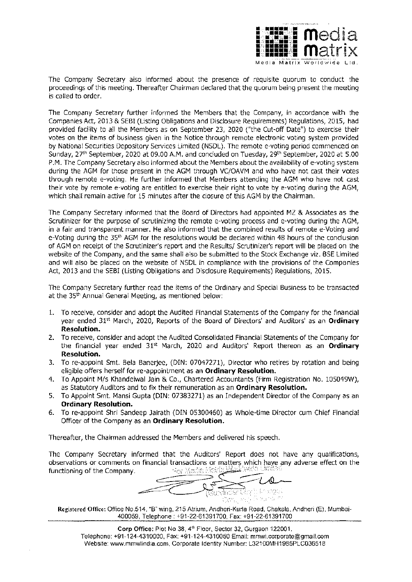

The Company Secretary also informed about the presence of requisite quorum to conduct the proceedings of this meeting. Thereafter Chairman declared that the quorum being present the meeting is called to order.

The Company Secretary further informed the Members that the Company, in accordance with the Companies Act, 2013 & SEBI (Listing Obligations and Disclosure Requirements) Regulations, 2015, had provided facility to all the Members as on September 23, 2020 ("the Cut-off Date") to exercise their votes on the items of business given in the Notice through remote electronic voting system provided by National Securities Depository Services Limited (NSDL). The remote e-voting period commenced on Sunday, 27<sup>th</sup> September, 2020 at 09.00 A.M. and concluded on Tuesday, 29<sup>th</sup> September, 2020 at 5.00 P .M. The Company Secretary also informed about the Members about the availability of e-voting system during the AGM for those present in the AGM through VC/OAVM and who have not cast their votes through remote e-voting. He further informed that Members attending the AGM who have not cast their vote by remote e-voting are entitled to exercise their right to vote bye-voting during the AGM, which shall remain active for 15 minutes after the closure of this AGM by the Chairman.

The Company Secretary informed that the Board of Directors had appointed MZ & Associates as the Scrutinizer for the purpose of scrutinizing the remote e-voting process and e-voting during the AGM, in a fair and transparent manner. He also informed that the combined results of remote e-Voting and e-Voting during the 35th AGM for the resolutions would be declared within 48 hours of the conclusion of AGM on receipt of the Scrutinizer's report and the Results/ Scrutinizer's report will be placed on the website of the Company, and the same shall also be submitted to the Stock Exchange viz. BSE Limited and will also be placed on the website of NSDL in compliance with the provisions of the Companies Act, 2013 and the SEBI (Listing Obligations and Disclosure Requirements) Regulations, 2015.

The Company Secretary further read the items of the Ordinary and Special Business to be transacted at the 35th Annual General Meeting, as mentioned below:

- 1. To receive, consider and adopt the Audited Financial Statements of the Company for the financial year ended 31st March, 2020, Reports of the Board of Directors' and Auditors' as an **Ordinary Resolution.**
- 2. To receive, consider and adopt the Audited Consolidated Financial Statements of the Company for the financial year ended 31<sup>st</sup> March, 2020 and Auditors' Report thereon as an **Ordinary Resolution.**
- 3. To re-appoint Smt. Bela Banerjee, (DIN: 07047271), Director who retires by rotation and being eligible offers herself for re-appointment as an **Ordinary Resolution.**
- 4. To Appoint M/s Khandelwal Jain & Co., Chartered Accountants (Firm Registration No. 105049W), as Statutory Auditors and to fix their remuneration as an **Ordinary Resolution.**
- 5. To Appoint Smt. Mansi Gupta (DIN: 07383271) as an Independent Director of the Company as an **Ordinary Resolution.**
- 6. To re-appoint Shri Sandeep Jairath (DIN 05300460) as Whole-time Director cum Chief Financial Officer of the Company as an **Ordinary Resolution.**

Thereafter, the Chairman addressed the Members and delivered his speech.

The Company Secretary informed that the Auditors' Report does not have any qualifications, observations or comments on financial transactions or matters which have any adverse effect on the functioning of the Company. functioning of the Company.

0 andia vinde (Gur

Registered Office: Office No.514, "B" wing, 215 Atrium, Andheri-Kurla Road, Chakala, Andheri (E), Mumbai-400059, Telephone: +91-22-61391700, Fax: +91-22-61391700

Corp Office: Plot No 38, 4<sup>th</sup> Floor, Sector 32, Gurgaon 122001. Telephone: +91-124-4310000, Fax: +91-124-4310050 Email: mmwl.corporate@gmail.com Website: www.mmwlindia.com, Corporate Identity Number: L32100MH1985PLC036518